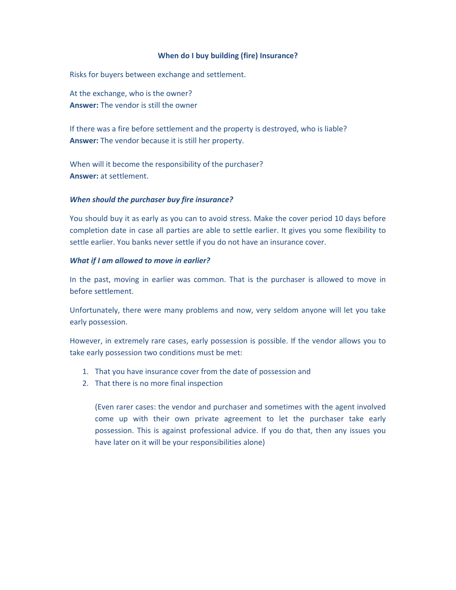## **When do I buy building (fire) Insurance?**

Risks for buyers between exchange and settlement.

At the exchange, who is the owner? **Answer:** The vendor is still the owner

If there was a fire before settlement and the property is destroyed, who is liable? **Answer:** The vendor because it is still her property.

When will it become the responsibility of the purchaser? **Answer:** at settlement.

## *When should the purchaser buy fire insurance?*

You should buy it as early as you can to avoid stress. Make the cover period 10 days before completion date in case all parties are able to settle earlier. It gives you some flexibility to settle earlier. You banks never settle if you do not have an insurance cover.

## *What if I am allowed to move in earlier?*

In the past, moving in earlier was common. That is the purchaser is allowed to move in before settlement.

Unfortunately, there were many problems and now, very seldom anyone will let you take early possession.

However, in extremely rare cases, early possession is possible. If the vendor allows you to take early possession two conditions must be met:

- 1. That you have insurance cover from the date of possession and
- 2. That there is no more final inspection

(Even rarer cases: the vendor and purchaser and sometimes with the agent involved come up with their own private agreement to let the purchaser take early possession. This is against professional advice. If you do that, then any issues you have later on it will be your responsibilities alone)